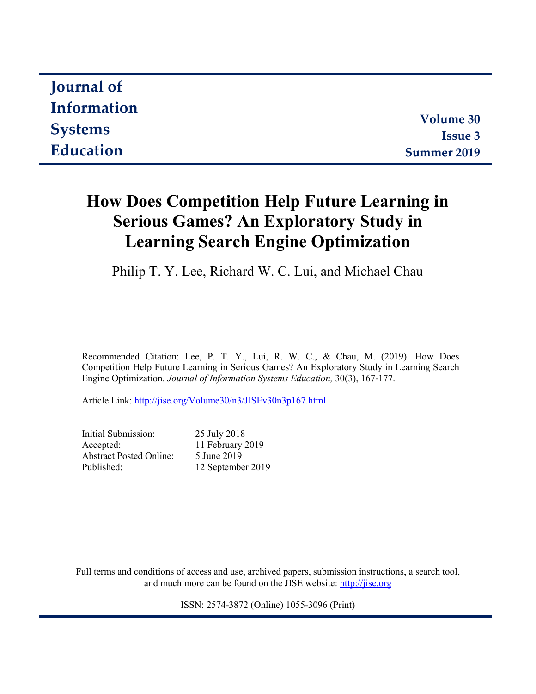| <b>Journal of</b> |                  |
|-------------------|------------------|
| Information       |                  |
|                   | <b>Volume 30</b> |
| <b>Systems</b>    | <b>Issue 3</b>   |
| Education         | Summer 2019      |

# **How Does Competition Help Future Learning in Serious Games? An Exploratory Study in Learning Search Engine Optimization**

Philip T. Y. Lee, Richard W. C. Lui, and Michael Chau

Recommended Citation: Lee, P. T. Y., Lui, R. W. C., & Chau, M. (2019). How Does Competition Help Future Learning in Serious Games? An Exploratory Study in Learning Search Engine Optimization. *Journal of Information Systems Education,* 30(3), 167-177.

Article Link: <http://jise.org/Volume30/n3/JISEv30n3p167.html>

Initial Submission: 25 July 2018 Accepted: 11 February 2019 Abstract Posted Online: 5 June 2019 Published: 12 September 2019

Full terms and conditions of access and use, archived papers, submission instructions, a search tool, and much more can be found on the JISE website: [http://jise.org](http://jise.org/)

ISSN: 2574-3872 (Online) 1055-3096 (Print)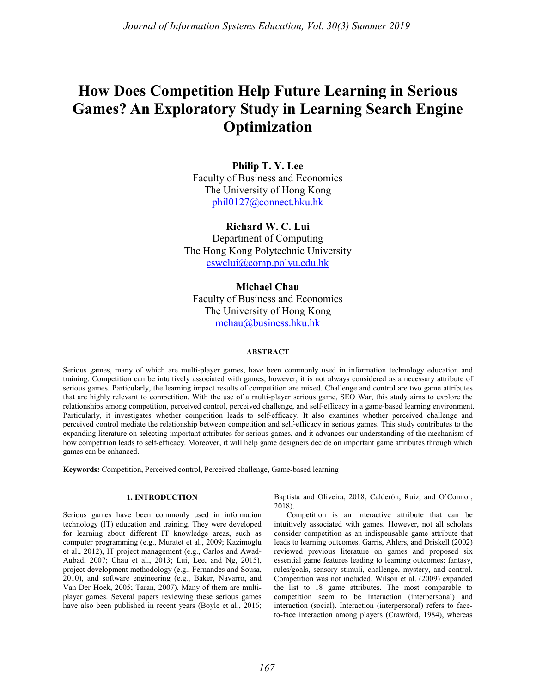# **How Does Competition Help Future Learning in Serious Games? An Exploratory Study in Learning Search Engine Optimization**

**Philip T. Y. Lee** Faculty of Business and Economics The University of Hong Kong [phil0127@connect.hku.hk](mailto:phil0127@hku.hk)

**Richard W. C. Lui** Department of Computing The Hong Kong Polytechnic University [cswclui@comp.polyu.edu.hk](mailto:cswclui@comp.polyu.edu.hk)

**Michael Chau** Faculty of Business and Economics The University of Hong Kong [mchau@business.hku.hk](mailto:mchau@business.hku.hk)

### **ABSTRACT**

Serious games, many of which are multi-player games, have been commonly used in information technology education and training. Competition can be intuitively associated with games; however, it is not always considered as a necessary attribute of serious games. Particularly, the learning impact results of competition are mixed. Challenge and control are two game attributes that are highly relevant to competition. With the use of a multi-player serious game, SEO War, this study aims to explore the relationships among competition, perceived control, perceived challenge, and self-efficacy in a game-based learning environment. Particularly, it investigates whether competition leads to self-efficacy. It also examines whether perceived challenge and perceived control mediate the relationship between competition and self-efficacy in serious games. This study contributes to the expanding literature on selecting important attributes for serious games, and it advances our understanding of the mechanism of how competition leads to self-efficacy. Moreover, it will help game designers decide on important game attributes through which games can be enhanced.

**Keywords:** Competition, Perceived control, Perceived challenge, Game-based learning

#### **1. INTRODUCTION**

Serious games have been commonly used in information technology (IT) education and training. They were developed for learning about different IT knowledge areas, such as computer programming (e.g., Muratet et al., 2009; Kazimoglu et al., 2012), IT project management (e.g., Carlos and Awad-Aubad, 2007; Chau et al., 2013; Lui, Lee, and Ng, 2015), project development methodology (e.g., Fernandes and Sousa, 2010), and software engineering (e.g., Baker, Navarro, and Van Der Hoek, 2005; Taran, 2007). Many of them are multiplayer games. Several papers reviewing these serious games have also been published in recent years (Boyle et al., 2016; Baptista and Oliveira, 2018; Calderón, Ruiz, and O'Connor, 2018).

Competition is an interactive attribute that can be intuitively associated with games. However, not all scholars consider competition as an indispensable game attribute that leads to learning outcomes. Garris, Ahlers, and Driskell (2002) reviewed previous literature on games and proposed six essential game features leading to learning outcomes: fantasy, rules/goals, sensory stimuli, challenge, mystery, and control. Competition was not included. Wilson et al. (2009) expanded the list to 18 game attributes. The most comparable to competition seem to be interaction (interpersonal) and interaction (social). Interaction (interpersonal) refers to faceto-face interaction among players (Crawford, 1984), whereas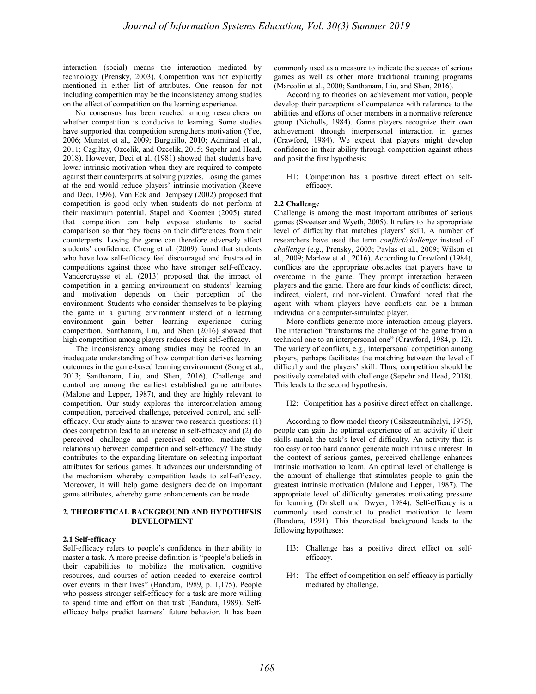interaction (social) means the interaction mediated by technology (Prensky, 2003). Competition was not explicitly mentioned in either list of attributes. One reason for not including competition may be the inconsistency among studies on the effect of competition on the learning experience.

No consensus has been reached among researchers on whether competition is conducive to learning. Some studies have supported that competition strengthens motivation (Yee, 2006; Muratet et al., 2009; Burguillo, 2010; Admiraal et al., 2011; Cagiltay, Ozcelik, and Ozcelik, 2015; Sepehr and Head, 2018). However, Deci et al. (1981) showed that students have lower intrinsic motivation when they are required to compete against their counterparts at solving puzzles. Losing the games at the end would reduce players' intrinsic motivation (Reeve and Deci, 1996). Van Eck and Dempsey (2002) proposed that competition is good only when students do not perform at their maximum potential. Stapel and Koomen (2005) stated that competition can help expose students to social comparison so that they focus on their differences from their counterparts. Losing the game can therefore adversely affect students' confidence. Cheng et al. (2009) found that students who have low self-efficacy feel discouraged and frustrated in competitions against those who have stronger self-efficacy. Vandercruysse et al. (2013) proposed that the impact of competition in a gaming environment on students' learning and motivation depends on their perception of the environment. Students who consider themselves to be playing the game in a gaming environment instead of a learning environment gain better learning experience during competition. Santhanam, Liu, and Shen (2016) showed that high competition among players reduces their self-efficacy.

The inconsistency among studies may be rooted in an inadequate understanding of how competition derives learning outcomes in the game-based learning environment (Song et al., 2013; Santhanam, Liu, and Shen, 2016). Challenge and control are among the earliest established game attributes (Malone and Lepper, 1987), and they are highly relevant to competition. Our study explores the intercorrelation among competition, perceived challenge, perceived control, and selfefficacy. Our study aims to answer two research questions: (1) does competition lead to an increase in self-efficacy and (2) do perceived challenge and perceived control mediate the relationship between competition and self-efficacy? The study contributes to the expanding literature on selecting important attributes for serious games. It advances our understanding of the mechanism whereby competition leads to self-efficacy. Moreover, it will help game designers decide on important game attributes, whereby game enhancements can be made.

### **2. THEORETICAL BACKGROUND AND HYPOTHESIS DEVELOPMENT**

#### **2.1 Self-efficacy**

Self-efficacy refers to people's confidence in their ability to master a task. A more precise definition is "people's beliefs in their capabilities to mobilize the motivation, cognitive resources, and courses of action needed to exercise control over events in their lives" (Bandura, 1989, p. 1,175). People who possess stronger self-efficacy for a task are more willing to spend time and effort on that task (Bandura, 1989). Selfefficacy helps predict learners' future behavior. It has been commonly used as a measure to indicate the success of serious games as well as other more traditional training programs (Marcolin et al., 2000; Santhanam, Liu, and Shen, 2016).

According to theories on achievement motivation, people develop their perceptions of competence with reference to the abilities and efforts of other members in a normative reference group (Nicholls, 1984). Game players recognize their own achievement through interpersonal interaction in games (Crawford, 1984). We expect that players might develop confidence in their ability through competition against others and posit the first hypothesis:

H1: Competition has a positive direct effect on selfefficacy.

#### **2.2 Challenge**

Challenge is among the most important attributes of serious games (Sweetser and Wyeth, 2005). It refers to the appropriate level of difficulty that matches players' skill. A number of researchers have used the term *conflict/challenge* instead of *challenge* (e.g., Prensky, 2003; Pavlas et al., 2009; Wilson et al., 2009; Marlow et al., 2016). According to Crawford (1984), conflicts are the appropriate obstacles that players have to overcome in the game. They prompt interaction between players and the game. There are four kinds of conflicts: direct, indirect, violent, and non-violent. Crawford noted that the agent with whom players have conflicts can be a human individual or a computer-simulated player.

More conflicts generate more interaction among players. The interaction "transforms the challenge of the game from a technical one to an interpersonal one" (Crawford, 1984, p. 12). The variety of conflicts, e.g., interpersonal competition among players, perhaps facilitates the matching between the level of difficulty and the players' skill. Thus, competition should be positively correlated with challenge (Sepehr and Head, 2018). This leads to the second hypothesis:

#### H2: Competition has a positive direct effect on challenge.

According to flow model theory (Csikszentmihalyi, 1975), people can gain the optimal experience of an activity if their skills match the task's level of difficulty. An activity that is too easy or too hard cannot generate much intrinsic interest. In the context of serious games, perceived challenge enhances intrinsic motivation to learn. An optimal level of challenge is the amount of challenge that stimulates people to gain the greatest intrinsic motivation (Malone and Lepper, 1987). The appropriate level of difficulty generates motivating pressure for learning (Driskell and Dwyer, 1984). Self-efficacy is a commonly used construct to predict motivation to learn (Bandura, 1991). This theoretical background leads to the following hypotheses:

- H3: Challenge has a positive direct effect on selfefficacy.
- H4: The effect of competition on self-efficacy is partially mediated by challenge.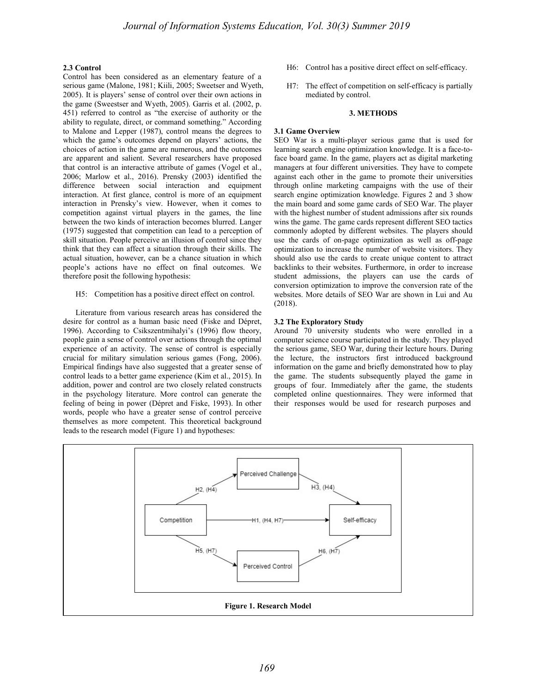### **2.3 Control**

Control has been considered as an elementary feature of a serious game (Malone, 1981; Kiili, 2005; Sweetser and Wyeth, 2005). It is players' sense of control over their own actions in the game (Sweestser and Wyeth, 2005). Garris et al. (2002, p. 451) referred to control as "the exercise of authority or the ability to regulate, direct, or command something." According to Malone and Lepper (1987), control means the degrees to which the game's outcomes depend on players' actions, the choices of action in the game are numerous, and the outcomes are apparent and salient. Several researchers have proposed that control is an interactive attribute of games (Vogel et al., 2006; Marlow et al., 2016). Prensky (2003) identified the difference between social interaction and equipment interaction. At first glance, control is more of an equipment interaction in Prensky's view. However, when it comes to competition against virtual players in the games, the line between the two kinds of interaction becomes blurred. Langer (1975) suggested that competition can lead to a perception of skill situation. People perceive an illusion of control since they think that they can affect a situation through their skills. The actual situation, however, can be a chance situation in which people's actions have no effect on final outcomes. We therefore posit the following hypothesis:

#### H5: Competition has a positive direct effect on control.

Literature from various research areas has considered the desire for control as a human basic need (Fiske and Dépret, 1996). According to Csikszentmihalyi's (1996) flow theory, people gain a sense of control over actions through the optimal experience of an activity. The sense of control is especially crucial for military simulation serious games (Fong, 2006). Empirical findings have also suggested that a greater sense of control leads to a better game experience (Kim et al., 2015). In addition, power and control are two closely related constructs in the psychology literature. More control can generate the feeling of being in power (Dépret and Fiske, 1993). In other words, people who have a greater sense of control perceive themselves as more competent. This theoretical background leads to the research model (Figure 1) and hypotheses:

- H6: Control has a positive direct effect on self-efficacy.
- H7: The effect of competition on self-efficacy is partially mediated by control.

#### **3. METHODS**

#### **3.1 Game Overview**

SEO War is a multi-player serious game that is used for learning search engine optimization knowledge. It is a face-toface board game. In the game, players act as digital marketing managers at four different universities. They have to compete against each other in the game to promote their universities through online marketing campaigns with the use of their search engine optimization knowledge. Figures 2 and 3 show the main board and some game cards of SEO War. The player with the highest number of student admissions after six rounds wins the game. The game cards represent different SEO tactics commonly adopted by different websites. The players should use the cards of on-page optimization as well as off-page optimization to increase the number of website visitors. They should also use the cards to create unique content to attract backlinks to their websites. Furthermore, in order to increase student admissions, the players can use the cards of conversion optimization to improve the conversion rate of the websites. More details of SEO War are shown in Lui and Au (2018).

#### **3.2 The Exploratory Study**

Around 70 university students who were enrolled in a computer science course participated in the study. They played the serious game, SEO War, during their lecture hours. During the lecture, the instructors first introduced background information on the game and briefly demonstrated how to play the game. The students subsequently played the game in groups of four. Immediately after the game, the students completed online questionnaires. They were informed that their responses would be used for research purposes and

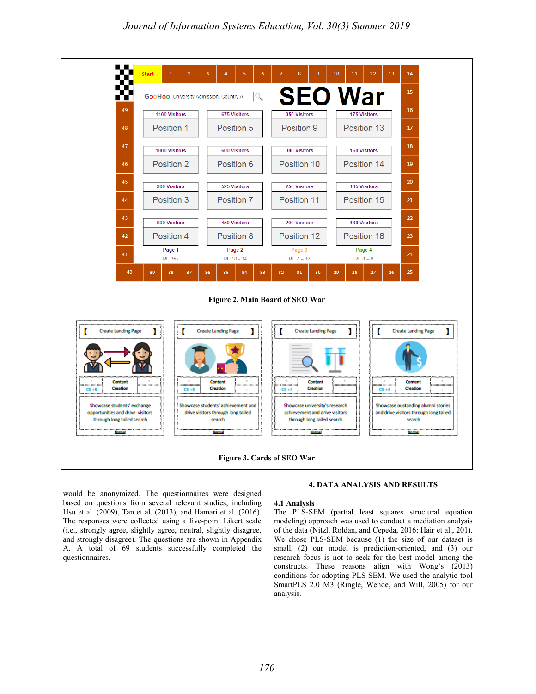

would be anonymized. The questionnaires were designed based on questions from several relevant studies, including Hsu et al. (2009), Tan et al. (2013), and Hamari et al. (2016). The responses were collected using a five-point Likert scale (i.e., strongly agree, slightly agree, neutral, slightly disagree, and strongly disagree). The questions are shown in Appendix A. A total of 69 students successfully completed the questionnaires.

#### **4. DATA ANALYSIS AND RESULTS**

#### **4.1 Analysis**

The PLS-SEM (partial least squares structural equation modeling) approach was used to conduct a mediation analysis of the data (Nitzl, Roldan, and Cepeda, 2016; Hair et al., 201). We chose PLS-SEM because (1) the size of our dataset is small, (2) our model is prediction-oriented, and (3) our research focus is not to seek for the best model among the constructs. These reasons align with Wong's (2013) conditions for adopting PLS-SEM. We used the analytic tool SmartPLS 2.0 M3 (Ringle, Wende, and Will, 2005) for our analysis.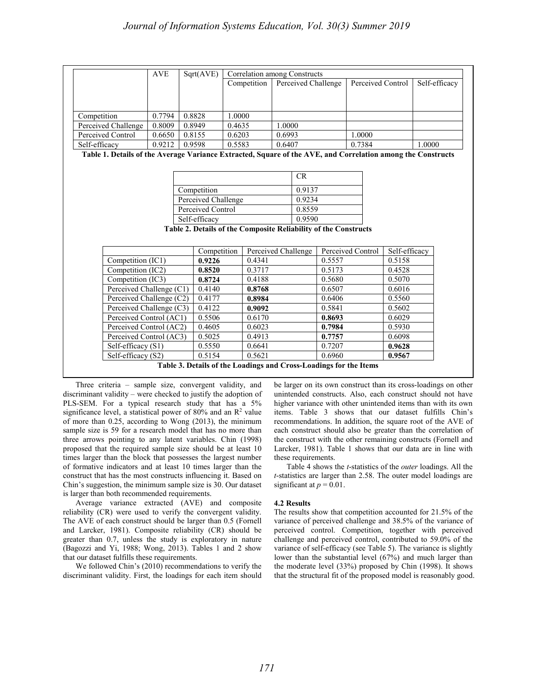|                                                                                                             | <b>AVE</b> | Sqrt(AVE)           | Correlation among Constructs |                                                                 |        |                   |               |               |
|-------------------------------------------------------------------------------------------------------------|------------|---------------------|------------------------------|-----------------------------------------------------------------|--------|-------------------|---------------|---------------|
|                                                                                                             |            |                     | Competition                  | Perceived Challenge                                             |        | Perceived Control |               | Self-efficacy |
|                                                                                                             |            |                     |                              |                                                                 |        |                   |               |               |
|                                                                                                             |            |                     |                              |                                                                 |        |                   |               |               |
| Competition                                                                                                 | 0.7794     | 0.8828              | 1.0000                       |                                                                 |        |                   |               |               |
| Perceived Challenge                                                                                         | 0.8009     | 0.8949              | 0.4635                       | 1.0000                                                          |        |                   |               |               |
| Perceived Control                                                                                           | 0.6650     | 0.8155              | 0.6203                       | 0.6993                                                          |        | 1.0000            |               |               |
| Self-efficacy                                                                                               | 0.9212     | 0.9598              | 0.5583                       | 0.6407                                                          |        | 0.7384            |               | 1.0000        |
| Table 1. Details of the Average Variance Extracted, Square of the AVE, and Correlation among the Constructs |            |                     |                              |                                                                 |        |                   |               |               |
|                                                                                                             |            |                     |                              |                                                                 |        |                   |               |               |
|                                                                                                             |            |                     |                              | CR                                                              |        |                   |               |               |
|                                                                                                             |            | Competition         |                              | 0.9137                                                          |        |                   |               |               |
|                                                                                                             |            | Perceived Challenge |                              | 0.9234                                                          |        |                   |               |               |
|                                                                                                             |            |                     |                              |                                                                 |        |                   |               |               |
|                                                                                                             |            |                     |                              |                                                                 |        |                   |               |               |
|                                                                                                             |            | Perceived Control   |                              | 0.8559                                                          |        |                   |               |               |
|                                                                                                             |            | Self-efficacy       |                              | 0.9590                                                          |        |                   |               |               |
|                                                                                                             |            |                     |                              | Table 2. Details of the Composite Reliability of the Constructs |        |                   |               |               |
|                                                                                                             |            |                     |                              |                                                                 |        |                   |               |               |
|                                                                                                             |            | Competition         |                              | Perceived Challenge                                             |        | Perceived Control | Self-efficacy |               |
| Competition (IC1)                                                                                           |            | 0.9226              | 0.4341                       |                                                                 | 0.5557 |                   | 0.5158        |               |
| Competition (IC2)                                                                                           |            | 0.8520              | 0.3717                       |                                                                 | 0.5173 |                   | 0.4528        |               |
| Competition (IC3)                                                                                           |            | 0.8724              | 0.4188                       |                                                                 | 0.5680 |                   | 0.5070        |               |
| Perceived Challenge (C1)                                                                                    |            | 0.4140              | 0.8768                       |                                                                 | 0.6507 |                   | 0.6016        |               |
| Perceived Challenge (C2)                                                                                    |            | 0.4177              | 0.8984                       |                                                                 | 0.6406 |                   | 0.5560        |               |
| Perceived Challenge (C3)                                                                                    |            | 0.4122              | 0.9092                       |                                                                 | 0.5841 |                   | 0.5602        |               |
| Perceived Control (AC1)                                                                                     |            | 0.5506              | 0.6170                       |                                                                 | 0.8693 |                   | 0.6029        |               |
| Perceived Control (AC2)                                                                                     |            | 0.4605              | 0.6023                       |                                                                 | 0.7984 |                   | 0.5930        |               |
| Perceived Control (AC3)                                                                                     |            | 0.5025              | 0.4913                       |                                                                 | 0.7757 |                   | 0.6098        |               |
| Self-efficacy (S1)                                                                                          |            | 0.5550              | 0.6641                       |                                                                 | 0.7207 |                   | 0.9628        |               |

Three criteria – sample size, convergent validity, and discriminant validity – were checked to justify the adoption of PLS-SEM. For a typical research study that has a 5% significance level, a statistical power of 80% and an  $\mathbb{R}^2$  value of more than 0.25, according to Wong (2013), the minimum sample size is 59 for a research model that has no more than three arrows pointing to any latent variables. Chin (1998) proposed that the required sample size should be at least 10 times larger than the block that possesses the largest number of formative indicators and at least 10 times larger than the construct that has the most constructs influencing it. Based on Chin's suggestion, the minimum sample size is 30. Our dataset is larger than both recommended requirements.

Average variance extracted (AVE) and composite reliability (CR) were used to verify the convergent validity. The AVE of each construct should be larger than 0.5 (Fornell and Larcker, 1981). Composite reliability (CR) should be greater than 0.7, unless the study is exploratory in nature (Bagozzi and Yi, 1988; Wong, 2013). Tables 1 and 2 show that our dataset fulfills these requirements.

We followed Chin's (2010) recommendations to verify the discriminant validity. First, the loadings for each item should be larger on its own construct than its cross-loadings on other unintended constructs. Also, each construct should not have higher variance with other unintended items than with its own items. Table 3 shows that our dataset fulfills Chin's recommendations. In addition, the square root of the AVE of each construct should also be greater than the correlation of the construct with the other remaining constructs (Fornell and Larcker, 1981). Table 1 shows that our data are in line with these requirements.

Table 4 shows the *t*-statistics of the *outer* loadings. All the *t*-statistics are larger than 2.58. The outer model loadings are significant at  $p = 0.01$ .

#### **4.2 Results**

The results show that competition accounted for 21.5% of the variance of perceived challenge and 38.5% of the variance of perceived control. Competition, together with perceived challenge and perceived control, contributed to 59.0% of the variance of self-efficacy (see Table 5). The variance is slightly lower than the substantial level (67%) and much larger than the moderate level (33%) proposed by Chin (1998). It shows that the structural fit of the proposed model is reasonably good.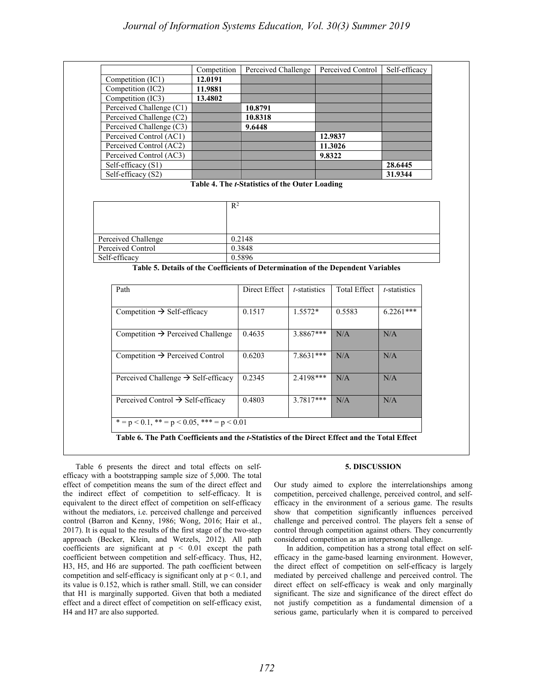|                                                                                                            | Competition |                                                |              | Perceived Challenge Perceived Control | Self-efficacy |
|------------------------------------------------------------------------------------------------------------|-------------|------------------------------------------------|--------------|---------------------------------------|---------------|
| Competition $(\overline{IC1})$                                                                             | 12.0191     |                                                |              |                                       |               |
| Competition (IC2)                                                                                          | 11.9881     |                                                |              |                                       |               |
| Competition (IC3)                                                                                          | 13.4802     |                                                |              |                                       |               |
| Perceived Challenge (C1)                                                                                   |             | 10.8791                                        |              |                                       |               |
| Perceived Challenge (C2)                                                                                   |             | 10.8318                                        |              |                                       |               |
| Perceived Challenge (C3)                                                                                   |             | 9.6448                                         |              |                                       |               |
| Perceived Control (AC1)                                                                                    |             |                                                |              | 12.9837                               |               |
| Perceived Control (AC2)                                                                                    |             |                                                |              | 11.3026                               |               |
| Perceived Control (AC3)                                                                                    |             |                                                |              | 9.8322                                |               |
| Self-efficacy (S1)                                                                                         |             |                                                |              |                                       | 28.6445       |
| Self-efficacy (S2)                                                                                         |             | Table 4. The t-Statistics of the Outer Loading |              |                                       | 31.9344       |
|                                                                                                            |             |                                                |              |                                       |               |
|                                                                                                            |             |                                                |              |                                       |               |
|                                                                                                            |             | 0.2148                                         |              |                                       |               |
|                                                                                                            |             |                                                |              |                                       |               |
|                                                                                                            |             | 0.3848                                         |              |                                       |               |
|                                                                                                            |             | 0.5896                                         |              |                                       |               |
| Table 5. Details of the Coefficients of Determination of the Dependent Variables                           |             |                                                |              |                                       |               |
| Path                                                                                                       |             | Direct Effect                                  | t-statistics | <b>Total Effect</b>                   | t-statistics  |
| Competition $\rightarrow$ Self-efficacy                                                                    |             | 0.1517                                         | $1.5572*$    | 0.5583                                | $6.2261***$   |
| Competition $\rightarrow$ Perceived Challenge                                                              |             | 0.4635                                         | 3.8867***    | N/A                                   | N/A           |
| Competition $\rightarrow$ Perceived Control                                                                |             | 0.6203                                         | $7.8631***$  | N/A                                   | N/A           |
| Perceived Challenge $\rightarrow$ Self-efficacy                                                            |             | 0.2345                                         | 2.4198***    | N/A                                   | N/A           |
| Perceived Challenge<br>Perceived Control<br>Self-efficacy<br>Perceived Control $\rightarrow$ Self-efficacy |             | 0.4803                                         | $3.7817***$  | N/A                                   | N/A           |

Table 6 presents the direct and total effects on selfefficacy with a bootstrapping sample size of 5,000. The total effect of competition means the sum of the direct effect and the indirect effect of competition to self-efficacy. It is equivalent to the direct effect of competition on self-efficacy without the mediators, i.e. perceived challenge and perceived control (Barron and Kenny, 1986; Wong, 2016; Hair et al., 2017). It is equal to the results of the first stage of the two-step approach (Becker, Klein, and Wetzels, 2012). All path coefficients are significant at  $p < 0.01$  except the path coefficient between competition and self-efficacy. Thus, H2, H3, H5, and H6 are supported. The path coefficient between competition and self-efficacy is significant only at  $p < 0.1$ , and its value is 0.152, which is rather small. Still, we can consider that H1 is marginally supported. Given that both a mediated effect and a direct effect of competition on self-efficacy exist, H4 and H7 are also supported.

#### **5. DISCUSSION**

Our study aimed to explore the interrelationships among competition, perceived challenge, perceived control, and selfefficacy in the environment of a serious game. The results show that competition significantly influences perceived challenge and perceived control. The players felt a sense of control through competition against others. They concurrently considered competition as an interpersonal challenge.

In addition, competition has a strong total effect on selfefficacy in the game-based learning environment. However, the direct effect of competition on self-efficacy is largely mediated by perceived challenge and perceived control. The direct effect on self-efficacy is weak and only marginally significant. The size and significance of the direct effect do not justify competition as a fundamental dimension of a serious game, particularly when it is compared to perceived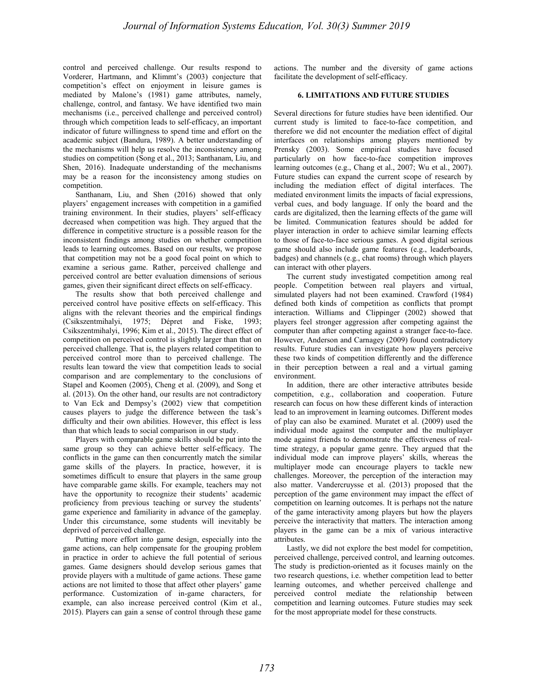control and perceived challenge. Our results respond to Vorderer, Hartmann, and Klimmt's (2003) conjecture that competition's effect on enjoyment in leisure games is mediated by Malone's (1981) game attributes, namely, challenge, control, and fantasy. We have identified two main mechanisms (i.e., perceived challenge and perceived control) through which competition leads to self-efficacy, an important indicator of future willingness to spend time and effort on the academic subject (Bandura, 1989). A better understanding of the mechanisms will help us resolve the inconsistency among studies on competition (Song et al., 2013; Santhanam, Liu, and Shen, 2016). Inadequate understanding of the mechanisms may be a reason for the inconsistency among studies on competition.

Santhanam, Liu, and Shen (2016) showed that only players' engagement increases with competition in a gamified training environment. In their studies, players' self-efficacy decreased when competition was high. They argued that the difference in competitive structure is a possible reason for the inconsistent findings among studies on whether competition leads to learning outcomes. Based on our results, we propose that competition may not be a good focal point on which to examine a serious game. Rather, perceived challenge and perceived control are better evaluation dimensions of serious games, given their significant direct effects on self-efficacy.

The results show that both perceived challenge and perceived control have positive effects on self-efficacy. This aligns with the relevant theories and the empirical findings (Csikszentmihalyi, 1975; Dépret and Fiske, 1993; Csikszentmihalyi, 1996; Kim et al., 2015). The direct effect of competition on perceived control is slightly larger than that on perceived challenge. That is, the players related competition to perceived control more than to perceived challenge. The results lean toward the view that competition leads to social comparison and are complementary to the conclusions of Stapel and Koomen (2005), Cheng et al. (2009), and Song et al. (2013). On the other hand, our results are not contradictory to Van Eck and Dempsy's (2002) view that competition causes players to judge the difference between the task's difficulty and their own abilities. However, this effect is less than that which leads to social comparison in our study.

Players with comparable game skills should be put into the same group so they can achieve better self-efficacy. The conflicts in the game can then concurrently match the similar game skills of the players. In practice, however, it is sometimes difficult to ensure that players in the same group have comparable game skills. For example, teachers may not have the opportunity to recognize their students' academic proficiency from previous teaching or survey the students' game experience and familiarity in advance of the gameplay. Under this circumstance, some students will inevitably be deprived of perceived challenge.

Putting more effort into game design, especially into the game actions, can help compensate for the grouping problem in practice in order to achieve the full potential of serious games. Game designers should develop serious games that provide players with a multitude of game actions. These game actions are not limited to those that affect other players' game performance. Customization of in-game characters, for example, can also increase perceived control (Kim et al., 2015). Players can gain a sense of control through these game actions. The number and the diversity of game actions facilitate the development of self-efficacy.

#### **6. LIMITATIONS AND FUTURE STUDIES**

Several directions for future studies have been identified. Our current study is limited to face-to-face competition, and therefore we did not encounter the mediation effect of digital interfaces on relationships among players mentioned by Prensky (2003). Some empirical studies have focused particularly on how face-to-face competition improves learning outcomes (e.g., Chang et al., 2007; Wu et al., 2007). Future studies can expand the current scope of research by including the mediation effect of digital interfaces. The mediated environment limits the impacts of facial expressions, verbal cues, and body language. If only the board and the cards are digitalized, then the learning effects of the game will be limited. Communication features should be added for player interaction in order to achieve similar learning effects to those of face-to-face serious games. A good digital serious game should also include game features (e.g., leaderboards, badges) and channels (e.g., chat rooms) through which players can interact with other players.

The current study investigated competition among real people. Competition between real players and virtual, simulated players had not been examined. Crawford (1984) defined both kinds of competition as conflicts that prompt interaction. Williams and Clippinger (2002) showed that players feel stronger aggression after competing against the computer than after competing against a stranger face-to-face. However, Anderson and Carnagey (2009) found contradictory results. Future studies can investigate how players perceive these two kinds of competition differently and the difference in their perception between a real and a virtual gaming environment.

In addition, there are other interactive attributes beside competition, e.g., collaboration and cooperation. Future research can focus on how these different kinds of interaction lead to an improvement in learning outcomes. Different modes of play can also be examined. Muratet et al. (2009) used the individual mode against the computer and the multiplayer mode against friends to demonstrate the effectiveness of realtime strategy, a popular game genre. They argued that the individual mode can improve players' skills, whereas the multiplayer mode can encourage players to tackle new challenges. Moreover, the perception of the interaction may also matter. Vandercruysse et al. (2013) proposed that the perception of the game environment may impact the effect of competition on learning outcomes. It is perhaps not the nature of the game interactivity among players but how the players perceive the interactivity that matters. The interaction among players in the game can be a mix of various interactive attributes.

Lastly, we did not explore the best model for competition, perceived challenge, perceived control, and learning outcomes. The study is prediction-oriented as it focuses mainly on the two research questions, i.e. whether competition lead to better learning outcomes, and whether perceived challenge and perceived control mediate the relationship between competition and learning outcomes. Future studies may seek for the most appropriate model for these constructs.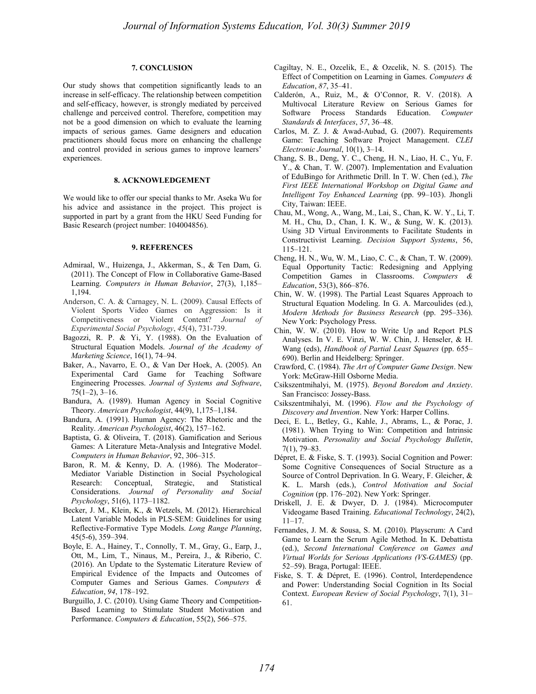## **7. CONCLUSION**

Our study shows that competition significantly leads to an increase in self-efficacy. The relationship between competition and self-efficacy, however, is strongly mediated by perceived challenge and perceived control. Therefore, competition may not be a good dimension on which to evaluate the learning impacts of serious games. Game designers and education practitioners should focus more on enhancing the challenge and control provided in serious games to improve learners' experiences.

#### **8. ACKNOWLEDGEMENT**

We would like to offer our special thanks to Mr. Aseka Wu for his advice and assistance in the project. This project is supported in part by a grant from the HKU Seed Funding for Basic Research (project number: 104004856).

#### **9. REFERENCES**

- Admiraal, W., Huizenga, J., Akkerman, S., & Ten Dam, G. (2011). The Concept of Flow in Collaborative Game-Based Learning. *Computers in Human Behavior*, 27(3), 1,185– 1,194.
- Anderson, C. A. & Carnagey, N. L. (2009). Causal Effects of Violent Sports Video Games on Aggression: Is it Competitiveness or Violent Content? *Journal of Experimental Social Psychology*, *45*(4), 731-739.
- Bagozzi, R. P. & Yi, Y. (1988). On the Evaluation of Structural Equation Models. *Journal of the Academy of Marketing Science*, 16(1), 74–94.
- Baker, A., Navarro, E. O., & Van Der Hoek, A. (2005). An Experimental Card Game for Teaching Software Engineering Processes. *Journal of Systems and Software*, 75(1–2), 3–16.
- Bandura, A. (1989). Human Agency in Social Cognitive Theory. *American Psychologist*, 44(9), 1,175–1,184.
- Bandura, A. (1991). Human Agency: The Rhetoric and the Reality. *American Psychologist*, 46(2), 157–162.
- Baptista, G. & Oliveira, T. (2018). Gamification and Serious Games: A Literature Meta-Analysis and Integrative Model. *Computers in Human Behavior*, 92, 306–315.
- Baron, R. M. & Kenny, D. A. (1986). The Moderator-Mediator Variable Distinction in Social Psychological Research: Conceptual, Strategic, and Statistical Considerations. *Journal of Personality and Social Psychology*, 51(6), 1173–1182.
- Becker, J. M., Klein, K., & Wetzels, M. (2012). Hierarchical Latent Variable Models in PLS-SEM: Guidelines for using Reflective-Formative Type Models. *Long Range Planning*, 45(5-6), 359–394.
- Boyle, E. A., Hainey, T., Connolly, T. M., Gray, G., Earp, J., Ott, M., Lim, T., Ninaus, M., Pereira, J., & Riberio, C. (2016). An Update to the Systematic Literature Review of Empirical Evidence of the Impacts and Outcomes of Computer Games and Serious Games. *Computers & Education*, *94*, 178–192.
- Burguillo, J. C. (2010). Using Game Theory and Competition-Based Learning to Stimulate Student Motivation and Performance. *Computers & Education*, 55(2), 566–575.
- Cagiltay, N. E., Ozcelik, E., & Ozcelik, N. S. (2015). The Effect of Competition on Learning in Games. *Computers & Education*, *87*, 35–41.
- Calderón, A., Ruiz, M., & O'Connor, R. V. (2018). A Multivocal Literature Review on Serious Games for Software Process Standards Education. *Computer Standards & Interfaces*, *57*, 36–48.
- Carlos, M. Z. J. & Awad-Aubad, G. (2007). Requirements Game: Teaching Software Project Management. *CLEI Electronic Journal*, 10(1), 3–14.
- Chang, S. B., Deng, Y. C., Cheng, H. N., Liao, H. C., Yu, F. Y., & Chan, T. W. (2007). Implementation and Evaluation of EduBingo for Arithmetic Drill. In T. W. Chen (ed.), *The First IEEE International Workshop on Digital Game and Intelligent Toy Enhanced Learning* (pp. 99–103). Jhongli City, Taiwan: IEEE.
- Chau, M., Wong, A., Wang, M., Lai, S., Chan, K. W. Y., Li, T. M. H., Chu, D., Chan, I. K. W., & Sung, W. K. (2013). Using 3D Virtual Environments to Facilitate Students in Constructivist Learning. *Decision Support Systems*, 56, 115–121.
- Cheng, H. N., Wu, W. M., Liao, C. C., & Chan, T. W. (2009). Equal Opportunity Tactic: Redesigning and Applying Competition Games in Classrooms. *Computers & Education*, 53(3), 866–876.
- Chin, W. W. (1998). The Partial Least Squares Approach to Structural Equation Modeling. In G. A. Marcoulides (ed.), *Modern Methods for Business Research* (pp. 295–336). New York: Psychology Press.
- Chin, W. W. (2010). How to Write Up and Report PLS Analyses. In V. E. Vinzi, W. W. Chin, J. Henseler, & H. Wang (eds), *Handbook of Partial Least Squares* (pp. 655– 690). Berlin and Heidelberg: Springer.
- Crawford, C. (1984). *The Art of Computer Game Design*. New York: McGraw-Hill Osborne Media.
- Csikszentmihalyi, M. (1975). *Beyond Boredom and Anxiety*. San Francisco: Jossey-Bass.
- Csikszentmihalyi, M. (1996). *Flow and the Psychology of Discovery and Invention*. New York: Harper Collins.
- Deci, E. L., Betley, G., Kahle, J., Abrams, L., & Porac, J. (1981). When Trying to Win: Competition and Intrinsic Motivation. *Personality and Social Psychology Bulletin*, 7(1), 79–83.
- Dépret, E. & Fiske, S. T. (1993). Social Cognition and Power: Some Cognitive Consequences of Social Structure as a Source of Control Deprivation. In G. Weary, F. Gleicher, & K. L. Marsh (eds.), *Control Motivation and Social Cognition* (pp. 176–202). New York: Springer.
- Driskell, J. E. & Dwyer, D. J. (1984). Microcomputer Videogame Based Training. *Educational Technology*, 24(2), 11–17.
- Fernandes, J. M. & Sousa, S. M. (2010). Playscrum: A Card Game to Learn the Scrum Agile Method. In K. Debattista (ed.), *Second International Conference on Games and Virtual Worlds for Serious Applications (VS-GAMES)* (pp. 52–59). Braga, Portugal: IEEE.
- Fiske, S. T. & Dépret, E. (1996). Control, Interdependence and Power: Understanding Social Cognition in Its Social Context. *European Review of Social Psychology*, 7(1), 31– 61.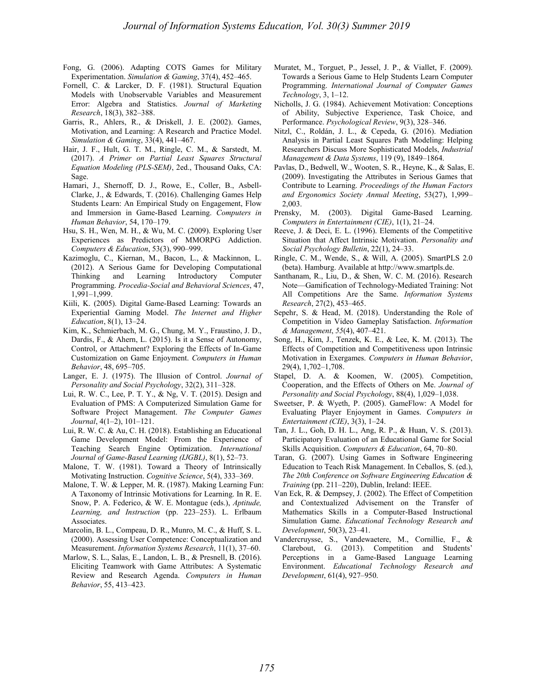- Fong, G. (2006). Adapting COTS Games for Military Experimentation. *Simulation & Gaming*, 37(4), 452–465.
- Fornell, C. & Larcker, D. F. (1981). Structural Equation Models with Unobservable Variables and Measurement Error: Algebra and Statistics. *Journal of Marketing Research*, 18(3), 382–388.
- Garris, R., Ahlers, R., & Driskell, J. E. (2002). Games, Motivation, and Learning: A Research and Practice Model. *Simulation & Gaming*, 33(4), 441–467.
- Hair, J. F., Hult, G. T. M., Ringle, C. M., & Sarstedt, M. (2017). *A Primer on Partial Least Squares Structural Equation Modeling (PLS-SEM)*, 2ed., Thousand Oaks, CA: Sage.
- Hamari, J., Shernoff, D. J., Rowe, E., Coller, B., Asbell-Clarke, J., & Edwards, T. (2016). Challenging Games Help Students Learn: An Empirical Study on Engagement, Flow and Immersion in Game-Based Learning. *Computers in Human Behavior*, 54, 170–179.
- Hsu, S. H., Wen, M. H., & Wu, M. C. (2009). Exploring User Experiences as Predictors of MMORPG Addiction. *Computers & Education*, 53(3), 990–999.
- Kazimoglu, C., Kiernan, M., Bacon, L., & Mackinnon, L. (2012). A Serious Game for Developing Computational Thinking and Learning Introductory Computer Programming. *Procedia-Social and Behavioral Sciences*, 47, 1,991–1,999.
- Kiili, K. (2005). Digital Game-Based Learning: Towards an Experiential Gaming Model. *The Internet and Higher Education*, 8(1), 13–24.
- Kim, K., Schmierbach, M. G., Chung, M. Y., Fraustino, J. D., Dardis, F., & Ahern, L. (2015). Is it a Sense of Autonomy, Control, or Attachment? Exploring the Effects of In-Game Customization on Game Enjoyment. *Computers in Human Behavior*, 48, 695–705.
- Langer, E. J. (1975). The Illusion of Control. *Journal of Personality and Social Psychology*, 32(2), 311–328.
- Lui, R. W. C., Lee, P. T. Y., & Ng, V. T. (2015). Design and Evaluation of PMS: A Computerized Simulation Game for Software Project Management. *The Computer Games Journal*, 4(1–2), 101–121.
- Lui, R. W. C. & Au, C. H. (2018). Establishing an Educational Game Development Model: From the Experience of Teaching Search Engine Optimization. *International Journal of Game-Based Learning (IJGBL)*, 8(1), 52–73.
- Malone, T. W. (1981). Toward a Theory of Intrinsically Motivating Instruction. *Cognitive Science*, 5(4), 333–369.
- Malone, T. W. & Lepper, M. R. (1987). Making Learning Fun: A Taxonomy of Intrinsic Motivations for Learning. In R. E. Snow, P. A. Federico, & W. E. Montague (eds.), *Aptitude, Learning, and Instruction* (pp. 223–253). L. Erlbaum Associates.
- Marcolin, B. L., Compeau, D. R., Munro, M. C., & Huff, S. L. (2000). Assessing User Competence: Conceptualization and Measurement. *Information Systems Research*, 11(1), 37–60.
- Marlow, S. L., Salas, E., Landon, L. B., & Presnell, B. (2016). Eliciting Teamwork with Game Attributes: A Systematic Review and Research Agenda. *Computers in Human Behavior*, 55, 413–423.
- Muratet, M., Torguet, P., Jessel, J. P., & Viallet, F. (2009). Towards a Serious Game to Help Students Learn Computer Programming. *International Journal of Computer Games Technology*, 3, 1–12.
- Nicholls, J. G. (1984). Achievement Motivation: Conceptions of Ability, Subjective Experience, Task Choice, and Performance. *Psychological Review*, 9(3), 328–346.
- Nitzl, C., Roldán, J. L., & Cepeda, G. (2016). Mediation Analysis in Partial Least Squares Path Modeling: Helping Researchers Discuss More Sophisticated Models, *Industrial Management & Data Systems*, 119 (9), 1849–1864.
- Pavlas, D., Bedwell, W., Wooten, S. R., Heyne, K., & Salas, E. (2009). Investigating the Attributes in Serious Games that Contribute to Learning. *Proceedings of the Human Factors and Ergonomics Society Annual Meeting*, 53(27), 1,999– 2,003.
- Prensky, M. (2003). Digital Game-Based Learning. *Computers in Entertainment (CIE)*, 1(1), 21–24.
- Reeve, J. & Deci, E. L. (1996). Elements of the Competitive Situation that Affect Intrinsic Motivation. *Personality and Social Psychology Bulletin*, 22(1), 24–33.
- Ringle, C. M., Wende, S., & Will, A. (2005). SmartPLS 2.0 (beta). Hamburg. Available at http://www.smartpls.de.
- Santhanam, R., Liu, D., & Shen, W. C. M. (2016). Research Note—Gamification of Technology-Mediated Training: Not All Competitions Are the Same. *Information Systems Research*, 27(2), 453–465.
- Sepehr, S. & Head, M. (2018). Understanding the Role of Competition in Video Gameplay Satisfaction. *Information & Management*, *55*(4), 407–421.
- Song, H., Kim, J., Tenzek, K. E., & Lee, K. M. (2013). The Effects of Competition and Competitiveness upon Intrinsic Motivation in Exergames. *Computers in Human Behavior*, 29(4), 1,702–1,708.
- Stapel, D. A. & Koomen, W. (2005). Competition, Cooperation, and the Effects of Others on Me. *Journal of Personality and Social Psychology*, 88(4), 1,029–1,038.
- Sweetser, P. & Wyeth, P. (2005). GameFlow: A Model for Evaluating Player Enjoyment in Games. *Computers in Entertainment (CIE)*, 3(3), 1–24.
- Tan, J. L., Goh, D. H. L., Ang, R. P., & Huan, V. S. (2013). Participatory Evaluation of an Educational Game for Social Skills Acquisition. *Computers & Education*, 64, 70–80.
- Taran, G. (2007). Using Games in Software Engineering Education to Teach Risk Management. In Ceballos, S. (ed.), *The 20th Conference on Software Engineering Education & Training* (pp. 211–220), Dublin, Ireland: IEEE.
- Van Eck, R. & Dempsey, J. (2002). The Effect of Competition and Contextualized Advisement on the Transfer of Mathematics Skills in a Computer-Based Instructional Simulation Game. *Educational Technology Research and Development*, 50(3), 23–41.
- Vandercruysse, S., Vandewaetere, M., Cornillie, F., & Clarebout, G. (2013). Competition and Students' Perceptions in a Game-Based Language Learning Environment. *Educational Technology Research and Development*, 61(4), 927–950.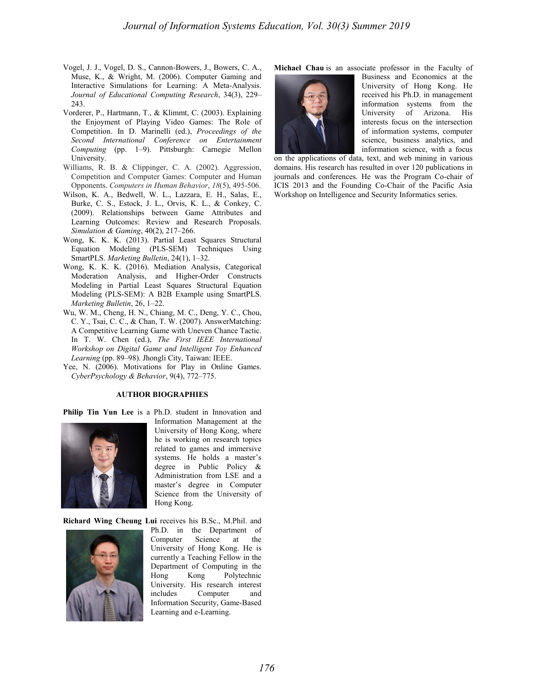- Vogel, J. J., Vogel, D. S., Cannon-Bowers, J., Bowers, C. A., Muse, K., & Wright, M. (2006). Computer Gaming and Interactive Simulations for Learning: A Meta-Analysis. *Journal of Educational Computing Research*, 34(3), 229– 243.
- Vorderer, P., Hartmann, T., & Klimmt, C. (2003). Explaining the Enjoyment of Playing Video Games: The Role of Competition. In D. Marinelli (ed.), *Proceedings of the Second International Conference on Entertainment Computing* (pp. 1–9). Pittsburgh: Carnegie Mellon University.
- Williams, R. B. & Clippinger, C. A. (2002). Aggression, Competition and Computer Games: Computer and Human Opponents. *Computers in Human Behavior*, *18*(5), 495-506.
- Wilson, K. A., Bedwell, W. L., Lazzara, E. H., Salas, E., Burke, C. S., Estock, J. L., Orvis, K. L., & Conkey, C. (2009). Relationships between Game Attributes and Learning Outcomes: Review and Research Proposals. *Simulation & Gaming*, 40(2), 217–266.
- Wong, K. K. K. (2013). Partial Least Squares Structural Equation Modeling (PLS-SEM) Techniques Using SmartPLS. *Marketing Bulletin*, 24(1), 1–32.
- Wong, K. K. K. (2016). Mediation Analysis, Categorical Moderation Analysis, and Higher-Order Constructs Modeling in Partial Least Squares Structural Equation Modeling (PLS-SEM): A B2B Example using SmartPLS. *Marketing Bulletin*, 26, 1–22.
- Wu, W. M., Cheng, H. N., Chiang, M. C., Deng, Y. C., Chou, C. Y., Tsai, C. C., & Chan, T. W. (2007). AnswerMatching: A Competitive Learning Game with Uneven Chance Tactic. In T. W. Chen (ed.), *The First IEEE International Workshop on Digital Game and Intelligent Toy Enhanced Learning* (pp. 89–98). Jhongli City, Taiwan: IEEE.
- Yee, N. (2006). Motivations for Play in Online Games. *CyberPsychology & Behavior*, 9(4), 772–775.

#### **AUTHOR BIOGRAPHIES**

**Philip Tin Yun Lee** is a Ph.D. student in Innovation and



Information Management at the University of Hong Kong, where he is working on research topics related to games and immersive systems. He holds a master's degree in Public Policy & Administration from LSE and a master's degree in Computer Science from the University of Hong Kong.

**Richard Wing Cheung Lui** receives his B.Sc., M.Phil. and



Ph.D. in the Department of Computer Science at the University of Hong Kong. He is currently a Teaching Fellow in the Department of Computing in the Hong Kong Polytechnic University. His research interest includes Computer and Information Security, Game-Based Learning and e-Learning.

**Michael Chau** is an associate professor in the Faculty of



Business and Economics at the University of Hong Kong. He received his Ph.D. in management information systems from the University of Arizona. His interests focus on the intersection of information systems, computer science, business analytics, and information science, with a focus

on the applications of data, text, and web mining in various domains. His research has resulted in over 120 publications in journals and conferences. He was the Program Co-chair of ICIS 2013 and the Founding Co-Chair of the Pacific Asia Workshop on Intelligence and Security Informatics series.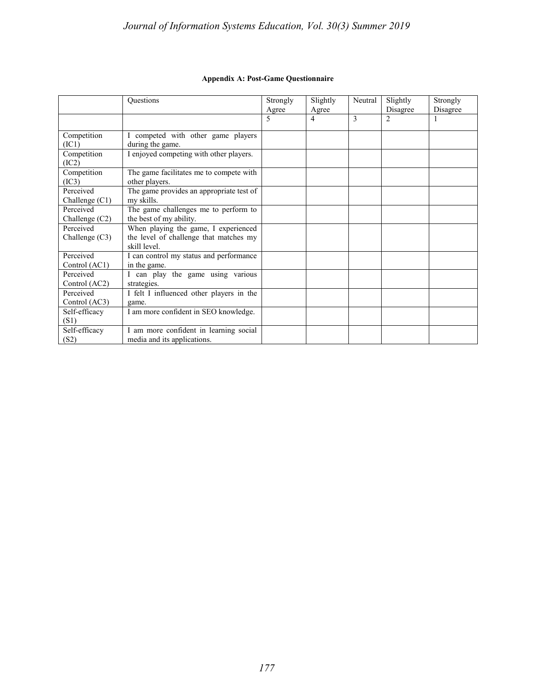## **Appendix A: Post-Game Questionnaire**

|                               | Questions                                                                                      | Strongly<br>Agree | Slightly<br>Agree | Neutral      | Slightly<br>Disagree | Strongly<br>Disagree |
|-------------------------------|------------------------------------------------------------------------------------------------|-------------------|-------------------|--------------|----------------------|----------------------|
|                               |                                                                                                | 5                 | 4                 | $\mathbf{3}$ | $\overline{c}$       | 1                    |
| Competition<br>(IC1)          | competed with other game players<br>during the game.                                           |                   |                   |              |                      |                      |
| Competition<br>(IC2)          | I enjoyed competing with other players.                                                        |                   |                   |              |                      |                      |
| Competition<br>(IC3)          | The game facilitates me to compete with<br>other players.                                      |                   |                   |              |                      |                      |
| Perceived<br>Challenge $(C1)$ | The game provides an appropriate test of<br>my skills.                                         |                   |                   |              |                      |                      |
| Perceived<br>Challenge (C2)   | The game challenges me to perform to<br>the best of my ability.                                |                   |                   |              |                      |                      |
| Perceived<br>Challenge $(C3)$ | When playing the game, I experienced<br>the level of challenge that matches my<br>skill level. |                   |                   |              |                      |                      |
| Perceived<br>Control (AC1)    | I can control my status and performance<br>in the game.                                        |                   |                   |              |                      |                      |
| Perceived<br>Control (AC2)    | can play the game using various<br>strategies.                                                 |                   |                   |              |                      |                      |
| Perceived<br>Control (AC3)    | I felt I influenced other players in the<br>game.                                              |                   |                   |              |                      |                      |
| Self-efficacy<br>(S1)         | I am more confident in SEO knowledge.                                                          |                   |                   |              |                      |                      |
| Self-efficacy<br>(S2)         | I am more confident in learning social<br>media and its applications.                          |                   |                   |              |                      |                      |